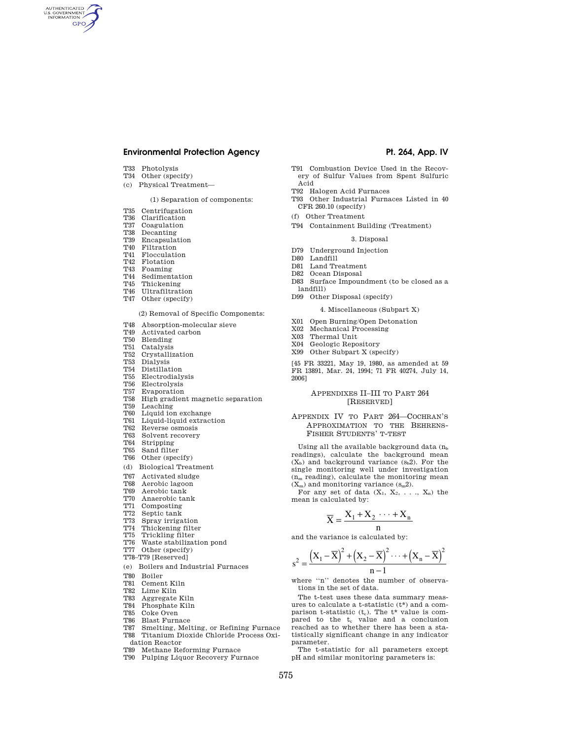# **Environmental Protection Agency**  Pt. 264, App. IV

T33 Photolysis

AUTHENTICATED<br>U.S. GOVERNMENT<br>INFORMATION GPO

- T34 Other (specify)
- (c) Physical Treatment—

# (1) Separation of components:

- T35 Centrifugation
- T36 Clarification
- T37 Coagulation<br>T38 Decanting Decanting
- T39 Encapsulation
- T40 Filtration
- 
- T41 Flocculation<br>T42 Flotation Flotation
- 
- T43 Foaming
- T44 Sedimentation<br>T45 Thickening
- T<sub>45</sub> Thickening<br>T<sub>46</sub> Illtrafiltrati
- Ultrafiltration T47 Other (specify)
- 

# (2) Removal of Specific Components:

- T48 Absorption-molecular sieve
- T<sub>49</sub> Activated carbon<br>T<sub>50</sub> Blending
- Blending
- T51 Catalysis
- T52 Crystallization
- T53 Dialysis
- T54 Distillation
- T55 Electrodialysis T56 Electrolysis
- T57 Evaporation
- T58 High gradient magnetic separation
- T59 Leaching
- T60 Liquid ion exchange
- T61 Liquid-liquid extraction
- T62 Reverse osmosis
- T63 Solvent recovery
- T64 Stripping
- T65 Sand filter
- T66 Other (specify)
- (d) Biological Treatment
- T67 Activated sludge
- T68 Aerobic lagoon<br>T69 Aerobic tank
- T69 Aerobic tank<br>T70 Anaerobic tal
- Anaerobic tank
- T71 Composting<br>T72 Septic tank
- Septic tank
- T73 Spray irrigation
- T74 Thickening filter<br>T75 Trickling filter Trickling filter
- T76 Waste stabilization pond
- T77 Other (specify)
- T78–T79 [Reserved]
- (e) Boilers and Industrial Furnaces
- T80 Boiler
- 
- T81 Cement Kiln<br>T82 Lime Kiln Lime Kiln
- T83 Aggregate Kiln
- T84 Phosphate Kiln
- T85 Coke Oven
- T86 Blast Furnace
- T87 Smelting, Melting, or Refining Furnace
- T88 Titanium Dioxide Chloride Process Oxidation Reactor
- T89 Methane Reforming Furnace
- T90 Pulping Liquor Recovery Furnace

- T91 Combustion Device Used in the Recovery of Sulfur Values from Spent Sulfuric Acid
- T92 Halogen Acid Furnaces
- T93 Other Industrial Furnaces Listed in 40 CFR 260.10 (specify)
- (f) Other Treatment
- T94 Containment Building (Treatment)

#### 3. Disposal

- D79 Underground Injection
- D80 Landfill
- D81 Land Treatment
- D82 Ocean Disposal
- D83 Surface Impoundment (to be closed as a landfill)
- D99 Other Disposal (specify)

#### 4. Miscellaneous (Subpart X)

- X01 Open Burning/Open Detonation
- X02 Mechanical Processing
- X03 Thermal Unit
- X04 Geologic Repository
- X99 Other Subpart X (specify)

[45 FR 33221, May 19, 1980, as amended at 59 FR 13891, Mar. 24, 1994; 71 FR 40274, July 14, 2006]

## APPENDIXES II–III TO PART 264 [RESERVED]

### APPENDIX IV TO PART 264—COCHRAN'S APPROXIMATION TO THE BEHRENS-FISHER STUDENTS' T-TEST

Using all the available background data  $(n_b)$ readings), calculate the background mean  $(X_b)$  and background variance  $(s_b 2)$ . For the single monitoring well under investigation  $(n_m \text{ reading})$ , calculate the monitoring mean  $(X_m)$  and monitoring variance  $(s_m2)$ .

For any set of data  $(X_1, X_2, \ldots, X_n)$  the mean is calculated by:

$$
\overline{X} = \frac{X_1 + X_2 \cdots + X_n}{n}
$$

and the variance is calculated by:

$$
s^{2} = \frac{(X_{1} - \overline{X})^{2} + (X_{2} - \overline{X})^{2} \cdots + (X_{n} - \overline{X})}{n-1}
$$

 $\overline{X}$ <sup>2</sup>

where ''n'' denotes the number of observations in the set of data.

The t-test uses these data summary measures to calculate a t-statistic (t\*) and a comparison t-statistic  $(t_c)$ . The  $t^*$  value is compared to the  $t_c$  value and a conclusion reached as to whether there has been a statistically significant change in any indicator parameter.

The t-statistic for all parameters except pH and similar monitoring parameters is: